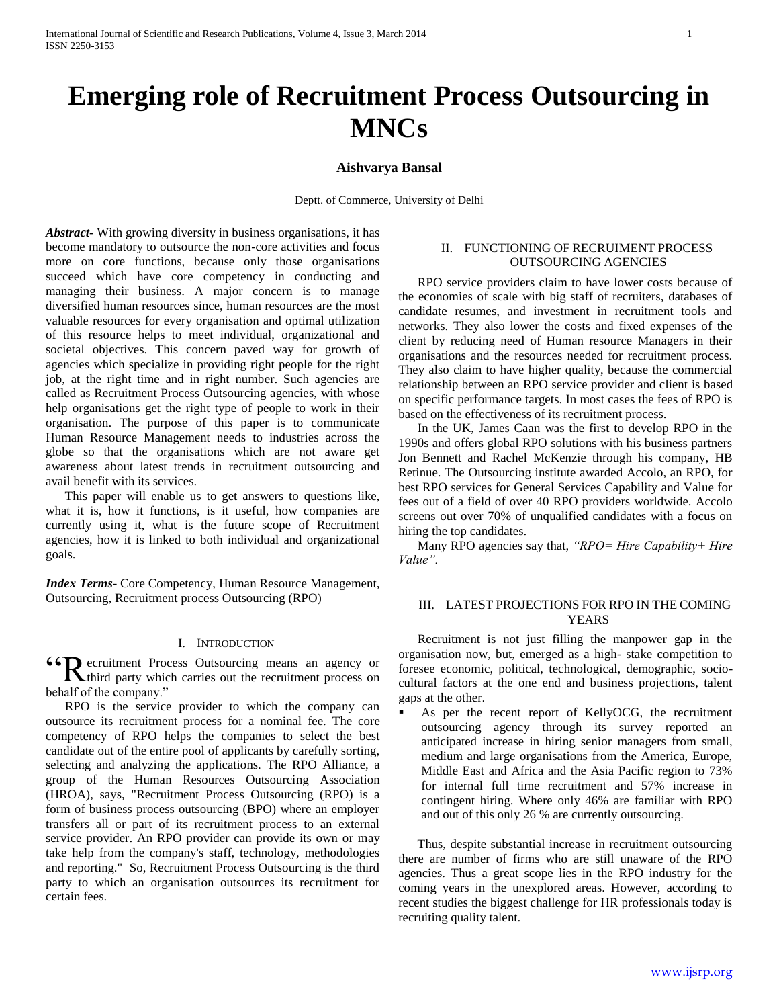# **Emerging role of Recruitment Process Outsourcing in MNCs**

# **Aishvarya Bansal**

Deptt. of Commerce, University of Delhi

*Abstract***-** With growing diversity in business organisations, it has become mandatory to outsource the non-core activities and focus more on core functions, because only those organisations succeed which have core competency in conducting and managing their business. A major concern is to manage diversified human resources since, human resources are the most valuable resources for every organisation and optimal utilization of this resource helps to meet individual, organizational and societal objectives. This concern paved way for growth of agencies which specialize in providing right people for the right job, at the right time and in right number. Such agencies are called as Recruitment Process Outsourcing agencies, with whose help organisations get the right type of people to work in their organisation. The purpose of this paper is to communicate Human Resource Management needs to industries across the globe so that the organisations which are not aware get awareness about latest trends in recruitment outsourcing and avail benefit with its services.

 This paper will enable us to get answers to questions like, what it is, how it functions, is it useful, how companies are currently using it, what is the future scope of Recruitment agencies, how it is linked to both individual and organizational goals.

*Index Terms*- Core Competency, Human Resource Management, Outsourcing, Recruitment process Outsourcing (RPO)

# I. INTRODUCTION

**CON** ecruitment Process Outsourcing means an agency or the recruitment process on **K**third party which carries out the recruitment process on behalf of the company."

 RPO is the service provider to which the company can outsource its recruitment process for a nominal fee. The core competency of RPO helps the companies to select the best candidate out of the entire pool of applicants by carefully sorting, selecting and analyzing the applications. The RPO Alliance, a group of the Human Resources Outsourcing Association (HROA), says, "Recruitment Process Outsourcing (RPO) is a form of business process outsourcing (BPO) where an employer transfers all or part of its recruitment process to an external service provider. An RPO provider can provide its own or may take help from the company's staff, technology, methodologies and reporting." So, Recruitment Process Outsourcing is the third party to which an organisation outsources its recruitment for certain fees.

# II. FUNCTIONING OF RECRUIMENT PROCESS OUTSOURCING AGENCIES

 RPO service providers claim to have lower costs because of the economies of scale with big staff of recruiters, databases of candidate resumes, and investment in recruitment tools and networks. They also lower the costs and fixed expenses of the client by reducing need of Human resource Managers in their organisations and the resources needed for recruitment process. They also claim to have higher quality, because the commercial relationship between an RPO service provider and client is based on specific performance targets. In most cases the fees of RPO is based on the effectiveness of its recruitment process.

 In the UK, James Caan was the first to develop RPO in the 1990s and offers global RPO solutions with his business partners Jon Bennett and Rachel McKenzie through his company, HB Retinue. The Outsourcing institute awarded Accolo, an RPO, for best RPO services for General Services Capability and Value for fees out of a field of over 40 RPO providers worldwide. Accolo screens out over 70% of unqualified candidates with a focus on hiring the top candidates.

 Many RPO agencies say that, *"RPO= Hire Capability+ Hire Value".*

# III. LATEST PROJECTIONS FOR RPO IN THE COMING YEARS

 Recruitment is not just filling the manpower gap in the organisation now, but, emerged as a high- stake competition to foresee economic, political, technological, demographic, sociocultural factors at the one end and business projections, talent gaps at the other.

 As per the recent report of KellyOCG, the recruitment outsourcing agency through its survey reported an anticipated increase in hiring senior managers from small, medium and large organisations from the America, Europe, Middle East and Africa and the Asia Pacific region to 73% for internal full time recruitment and 57% increase in contingent hiring. Where only 46% are familiar with RPO and out of this only 26 % are currently outsourcing.

 Thus, despite substantial increase in recruitment outsourcing there are number of firms who are still unaware of the RPO agencies. Thus a great scope lies in the RPO industry for the coming years in the unexplored areas. However, according to recent studies the biggest challenge for HR professionals today is recruiting quality talent.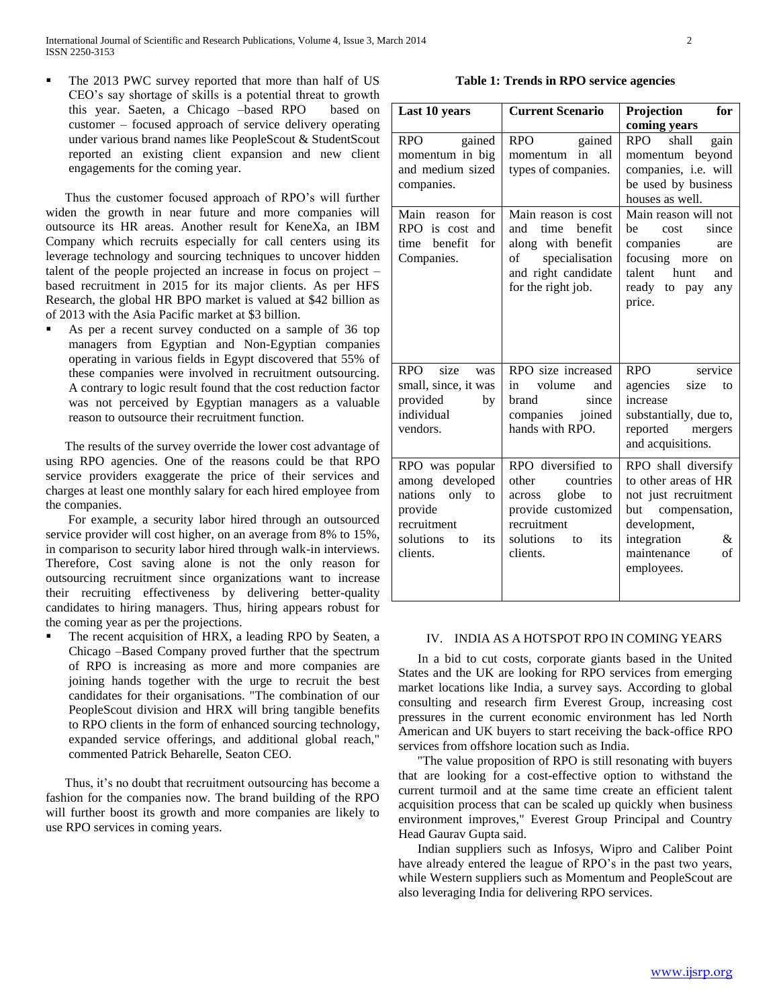The 2013 PWC survey reported that more than half of US CEO's say shortage of skills is a potential threat to growth this year. Saeten, a Chicago –based RPO based on customer – focused approach of service delivery operating under various brand names like PeopleScout & StudentScout reported an existing client expansion and new client engagements for the coming year.

 Thus the customer focused approach of RPO's will further widen the growth in near future and more companies will outsource its HR areas. Another result for KeneXa, an IBM Company which recruits especially for call centers using its leverage technology and sourcing techniques to uncover hidden talent of the people projected an increase in focus on project – based recruitment in 2015 for its major clients. As per HFS Research, the global HR BPO market is valued at \$42 billion as of 2013 with the Asia Pacific market at \$3 billion.

 As per a recent survey conducted on a sample of 36 top managers from Egyptian and Non-Egyptian companies operating in various fields in Egypt discovered that 55% of these companies were involved in recruitment outsourcing. A contrary to logic result found that the cost reduction factor was not perceived by Egyptian managers as a valuable reason to outsource their recruitment function.

 The results of the survey override the lower cost advantage of using RPO agencies. One of the reasons could be that RPO service providers exaggerate the price of their services and charges at least one monthly salary for each hired employee from the companies.

 For example, a security labor hired through an outsourced service provider will cost higher, on an average from 8% to 15%, in comparison to security labor hired through walk-in interviews. Therefore, Cost saving alone is not the only reason for outsourcing recruitment since organizations want to increase their recruiting effectiveness by delivering better-quality candidates to hiring managers. Thus, hiring appears robust for the coming year as per the projections.

 The recent acquisition of HRX, a leading RPO by Seaten, a Chicago –Based Company proved further that the spectrum of RPO is increasing as more and more companies are joining hands together with the urge to recruit the best candidates for their organisations. "The combination of our PeopleScout division and HRX will bring tangible benefits to RPO clients in the form of enhanced sourcing technology, expanded service offerings, and additional global reach," commented Patrick Beharelle, Seaton CEO.

 Thus, it's no doubt that recruitment outsourcing has become a fashion for the companies now. The brand building of the RPO will further boost its growth and more companies are likely to use RPO services in coming years.

# **Table 1: Trends in RPO service agencies**

| Last 10 years                                                                                                            | <b>Current Scenario</b>                                                                                                                      | Projection<br>for                                                                                                                                               |
|--------------------------------------------------------------------------------------------------------------------------|----------------------------------------------------------------------------------------------------------------------------------------------|-----------------------------------------------------------------------------------------------------------------------------------------------------------------|
|                                                                                                                          |                                                                                                                                              | coming years                                                                                                                                                    |
| gained<br><b>RPO</b><br>momentum in big<br>and medium sized<br>companies.                                                | gained<br><b>RPO</b><br>all<br>in<br>momentum<br>types of companies.                                                                         | shall<br><b>RPO</b><br>gain<br>momentum beyond<br>companies, i.e. will<br>be used by business<br>houses as well.                                                |
| Main<br>for<br>reason<br>RPO is cost<br>and<br>benefit<br>for<br>time<br>Companies.                                      | Main reason is cost<br>time<br>benefit<br>and<br>along with benefit<br>specialisation<br>of<br>and right candidate<br>for the right job.     | Main reason will not<br>cost<br>since<br>he<br>companies<br>are<br>focusing more on<br>talent hunt<br>and<br>ready to pay<br>any<br>price.                      |
| <b>RPO</b><br>size<br>was<br>small, since, it was<br>provided<br>by<br>individual<br>vendors.                            | RPO size increased<br>volume<br>in<br>and<br>brand<br>since<br>companies joined<br>hands with RPO.                                           | service<br><b>RPO</b><br>agencies<br>size<br>to<br>increase<br>substantially, due to,<br>reported<br>mergers<br>and acquisitions.                               |
| RPO was popular<br>among developed<br>nations<br>only to<br>provide<br>recruitment<br>solutions<br>its<br>to<br>clients. | RPO diversified to<br>other<br>countries<br>globe<br>across<br>to<br>provide customized<br>recruitment<br>solutions<br>its<br>to<br>clients. | RPO shall diversify<br>to other areas of HR<br>not just recruitment<br>but compensation,<br>development,<br>integration<br>&<br>maintenance<br>of<br>employees. |

# IV. INDIA AS A HOTSPOT RPO IN COMING YEARS

 In a bid to cut costs, corporate giants based in the United States and the UK are looking for RPO services from emerging market locations like India, a survey says. According to global consulting and research firm Everest Group, increasing cost pressures in the current economic environment has led North American and UK buyers to start receiving the back-office RPO services from offshore location such as India.

 "The value proposition of RPO is still resonating with buyers that are looking for a cost-effective option to withstand the current turmoil and at the same time create an efficient talent acquisition process that can be scaled up quickly when business environment improves," Everest Group Principal and Country Head Gaurav Gupta said.

 Indian suppliers such as Infosys, Wipro and Caliber Point have already entered the league of RPO's in the past two years, while Western suppliers such as Momentum and PeopleScout are also leveraging India for delivering RPO services.